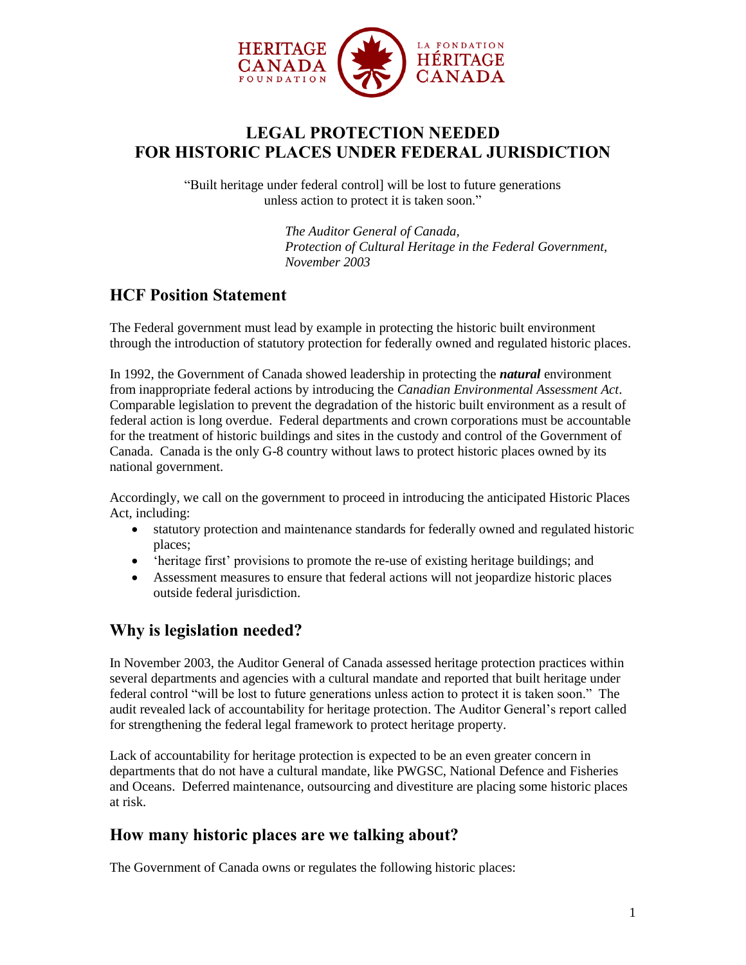

# **LEGAL PROTECTION NEEDED FOR HISTORIC PLACES UNDER FEDERAL JURISDICTION**

"Built heritage under federal control] will be lost to future generations unless action to protect it is taken soon."

> *The Auditor General of Canada, Protection of Cultural Heritage in the Federal Government, November 2003*

## **HCF Position Statement**

The Federal government must lead by example in protecting the historic built environment through the introduction of statutory protection for federally owned and regulated historic places.

In 1992, the Government of Canada showed leadership in protecting the *natural* environment from inappropriate federal actions by introducing the *Canadian Environmental Assessment Act*. Comparable legislation to prevent the degradation of the historic built environment as a result of federal action is long overdue. Federal departments and crown corporations must be accountable for the treatment of historic buildings and sites in the custody and control of the Government of Canada. Canada is the only G-8 country without laws to protect historic places owned by its national government.

Accordingly, we call on the government to proceed in introducing the anticipated Historic Places Act, including:

- statutory protection and maintenance standards for federally owned and regulated historic places;
- 'heritage first' provisions to promote the re-use of existing heritage buildings; and
- Assessment measures to ensure that federal actions will not jeopardize historic places outside federal jurisdiction.

## **Why is legislation needed?**

In November 2003, the Auditor General of Canada assessed heritage protection practices within several departments and agencies with a cultural mandate and reported that built heritage under federal control "will be lost to future generations unless action to protect it is taken soon." The audit revealed lack of accountability for heritage protection. The Auditor General"s report called for strengthening the federal legal framework to protect heritage property.

Lack of accountability for heritage protection is expected to be an even greater concern in departments that do not have a cultural mandate, like PWGSC, National Defence and Fisheries and Oceans. Deferred maintenance, outsourcing and divestiture are placing some historic places at risk.

### **How many historic places are we talking about?**

The Government of Canada owns or regulates the following historic places: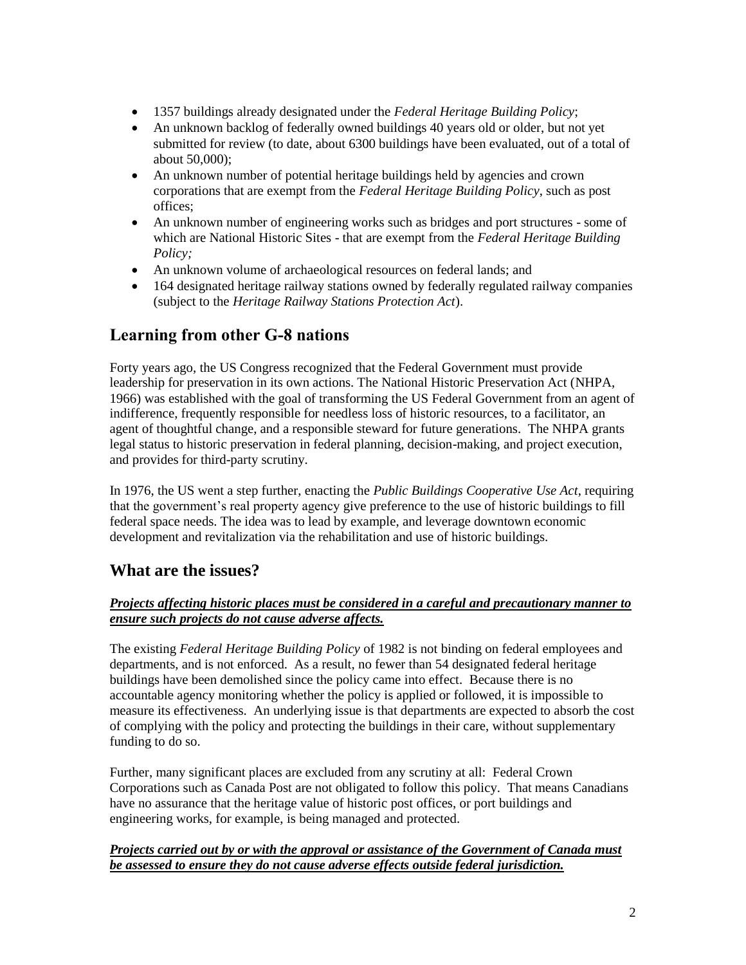- 1357 buildings already designated under the *Federal Heritage Building Policy*;
- An unknown backlog of federally owned buildings 40 years old or older, but not yet submitted for review (to date, about 6300 buildings have been evaluated, out of a total of about 50,000);
- An unknown number of potential heritage buildings held by agencies and crown corporations that are exempt from the *Federal Heritage Building Policy*, such as post offices;
- An unknown number of engineering works such as bridges and port structures some of which are National Historic Sites - that are exempt from the *Federal Heritage Building Policy;*
- An unknown volume of archaeological resources on federal lands; and
- 164 designated heritage railway stations owned by federally regulated railway companies (subject to the *Heritage Railway Stations Protection Act*).

## **Learning from other G-8 nations**

Forty years ago, the US Congress recognized that the Federal Government must provide leadership for preservation in its own actions. The National Historic Preservation Act (NHPA, 1966) was established with the goal of transforming the US Federal Government from an agent of indifference, frequently responsible for needless loss of historic resources, to a facilitator, an agent of thoughtful change, and a responsible steward for future generations. The NHPA grants legal status to historic preservation in federal planning, decision-making, and project execution, and provides for third-party scrutiny.

In 1976, the US went a step further, enacting the *Public Buildings Cooperative Use Act*, requiring that the government"s real property agency give preference to the use of historic buildings to fill federal space needs. The idea was to lead by example, and leverage downtown economic development and revitalization via the rehabilitation and use of historic buildings.

## **What are the issues?**

### *Projects affecting historic places must be considered in a careful and precautionary manner to ensure such projects do not cause adverse affects.*

The existing *Federal Heritage Building Policy* of 1982 is not binding on federal employees and departments, and is not enforced. As a result, no fewer than 54 designated federal heritage buildings have been demolished since the policy came into effect. Because there is no accountable agency monitoring whether the policy is applied or followed, it is impossible to measure its effectiveness. An underlying issue is that departments are expected to absorb the cost of complying with the policy and protecting the buildings in their care, without supplementary funding to do so.

Further, many significant places are excluded from any scrutiny at all: Federal Crown Corporations such as Canada Post are not obligated to follow this policy. That means Canadians have no assurance that the heritage value of historic post offices, or port buildings and engineering works, for example, is being managed and protected.

#### *Projects carried out by or with the approval or assistance of the Government of Canada must be assessed to ensure they do not cause adverse effects outside federal jurisdiction.*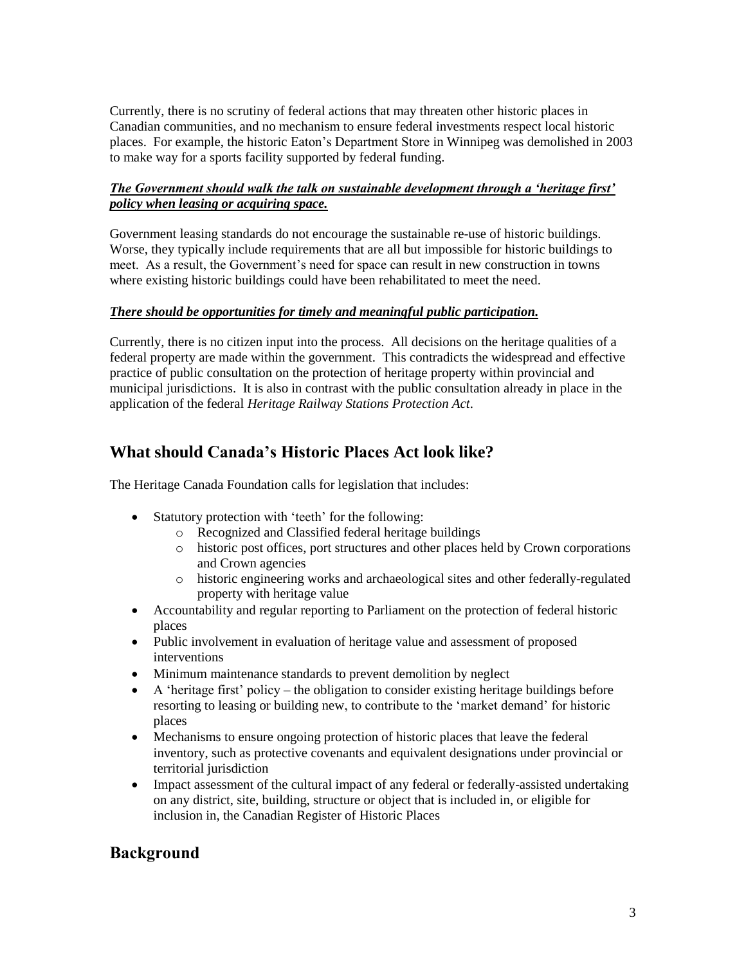Currently, there is no scrutiny of federal actions that may threaten other historic places in Canadian communities, and no mechanism to ensure federal investments respect local historic places. For example, the historic Eaton"s Department Store in Winnipeg was demolished in 2003 to make way for a sports facility supported by federal funding.

#### *The Government should walk the talk on sustainable development through a 'heritage first' policy when leasing or acquiring space.*

Government leasing standards do not encourage the sustainable re-use of historic buildings. Worse, they typically include requirements that are all but impossible for historic buildings to meet. As a result, the Government"s need for space can result in new construction in towns where existing historic buildings could have been rehabilitated to meet the need.

#### *There should be opportunities for timely and meaningful public participation.*

Currently, there is no citizen input into the process. All decisions on the heritage qualities of a federal property are made within the government. This contradicts the widespread and effective practice of public consultation on the protection of heritage property within provincial and municipal jurisdictions. It is also in contrast with the public consultation already in place in the application of the federal *Heritage Railway Stations Protection Act*.

### **What should Canada's Historic Places Act look like?**

The Heritage Canada Foundation calls for legislation that includes:

- Statutory protection with 'teeth' for the following:
	- o Recognized and Classified federal heritage buildings
	- o historic post offices, port structures and other places held by Crown corporations and Crown agencies
	- o historic engineering works and archaeological sites and other federally-regulated property with heritage value
- Accountability and regular reporting to Parliament on the protection of federal historic places
- Public involvement in evaluation of heritage value and assessment of proposed interventions
- Minimum maintenance standards to prevent demolition by neglect
- $\bullet$  A 'heritage first' policy the obligation to consider existing heritage buildings before resorting to leasing or building new, to contribute to the "market demand" for historic places
- Mechanisms to ensure ongoing protection of historic places that leave the federal inventory, such as protective covenants and equivalent designations under provincial or territorial jurisdiction
- Impact assessment of the cultural impact of any federal or federally-assisted undertaking on any district, site, building, structure or object that is included in, or eligible for inclusion in, the Canadian Register of Historic Places

### **Background**